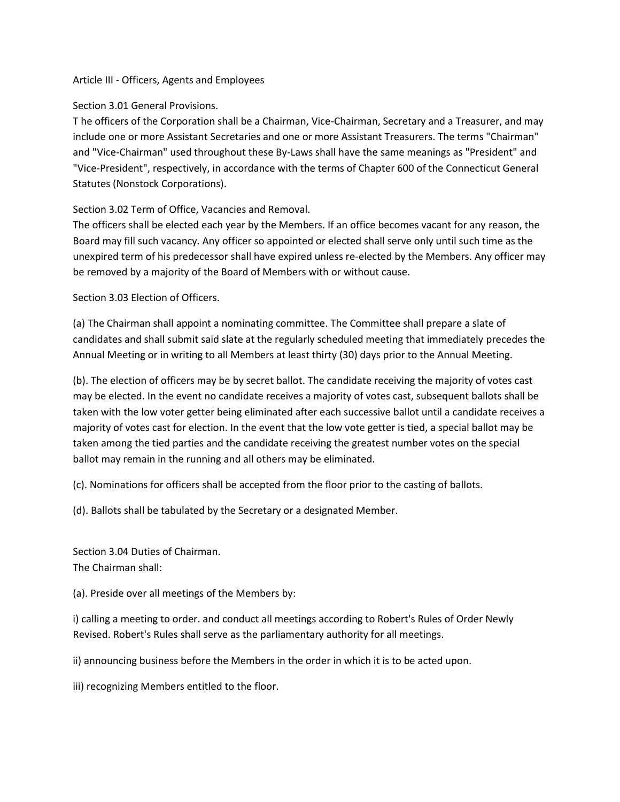#### Article III - Officers, Agents and Employees

### Section 3.01 General Provisions.

T he officers of the Corporation shall be a Chairman, Vice-Chairman, Secretary and a Treasurer, and may include one or more Assistant Secretaries and one or more Assistant Treasurers. The terms "Chairman" and "Vice-Chairman" used throughout these By-Laws shall have the same meanings as "President" and "Vice-President", respectively, in accordance with the terms of Chapter 600 of the Connecticut General Statutes (Nonstock Corporations).

# Section 3.02 Term of Office, Vacancies and Removal.

The officers shall be elected each year by the Members. If an office becomes vacant for any reason, the Board may fill such vacancy. Any officer so appointed or elected shall serve only until such time as the unexpired term of his predecessor shall have expired unless re-elected by the Members. Any officer may be removed by a majority of the Board of Members with or without cause.

## Section 3.03 Election of Officers.

(a) The Chairman shall appoint a nominating committee. The Committee shall prepare a slate of candidates and shall submit said slate at the regularly scheduled meeting that immediately precedes the Annual Meeting or in writing to all Members at least thirty (30) days prior to the Annual Meeting.

(b). The election of officers may be by secret ballot. The candidate receiving the majority of votes cast may be elected. In the event no candidate receives a majority of votes cast, subsequent ballots shall be taken with the low voter getter being eliminated after each successive ballot until a candidate receives a majority of votes cast for election. In the event that the low vote getter is tied, a special ballot may be taken among the tied parties and the candidate receiving the greatest number votes on the special ballot may remain in the running and all others may be eliminated.

(c). Nominations for officers shall be accepted from the floor prior to the casting of ballots.

(d). Ballots shall be tabulated by the Secretary or a designated Member.

Section 3.04 Duties of Chairman. The Chairman shall:

(a). Preside over all meetings of the Members by:

i) calling a meeting to order. and conduct all meetings according to Robert's Rules of Order Newly Revised. Robert's Rules shall serve as the parliamentary authority for all meetings.

ii) announcing business before the Members in the order in which it is to be acted upon.

iii) recognizing Members entitled to the floor.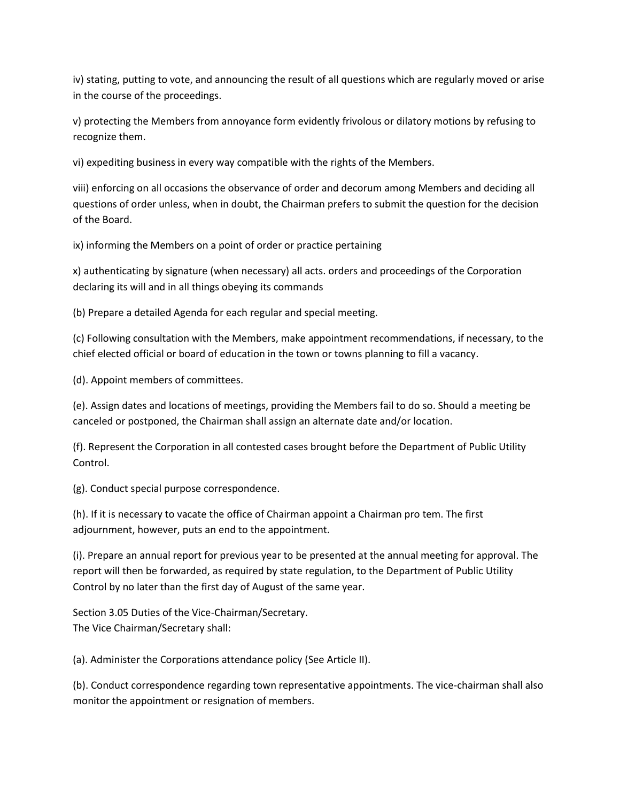iv) stating, putting to vote, and announcing the result of all questions which are regularly moved or arise in the course of the proceedings.

v) protecting the Members from annoyance form evidently frivolous or dilatory motions by refusing to recognize them.

vi) expediting business in every way compatible with the rights of the Members.

viii) enforcing on all occasions the observance of order and decorum among Members and deciding all questions of order unless, when in doubt, the Chairman prefers to submit the question for the decision of the Board.

ix) informing the Members on a point of order or practice pertaining

x) authenticating by signature (when necessary) all acts. orders and proceedings of the Corporation declaring its will and in all things obeying its commands

(b) Prepare a detailed Agenda for each regular and special meeting.

(c) Following consultation with the Members, make appointment recommendations, if necessary, to the chief elected official or board of education in the town or towns planning to fill a vacancy.

(d). Appoint members of committees.

(e). Assign dates and locations of meetings, providing the Members fail to do so. Should a meeting be canceled or postponed, the Chairman shall assign an alternate date and/or location.

(f). Represent the Corporation in all contested cases brought before the Department of Public Utility Control.

(g). Conduct special purpose correspondence.

(h). If it is necessary to vacate the office of Chairman appoint a Chairman pro tem. The first adjournment, however, puts an end to the appointment.

(i). Prepare an annual report for previous year to be presented at the annual meeting for approval. The report will then be forwarded, as required by state regulation, to the Department of Public Utility Control by no later than the first day of August of the same year.

Section 3.05 Duties of the Vice-Chairman/Secretary. The Vice Chairman/Secretary shall:

(a). Administer the Corporations attendance policy (See Article II).

(b). Conduct correspondence regarding town representative appointments. The vice-chairman shall also monitor the appointment or resignation of members.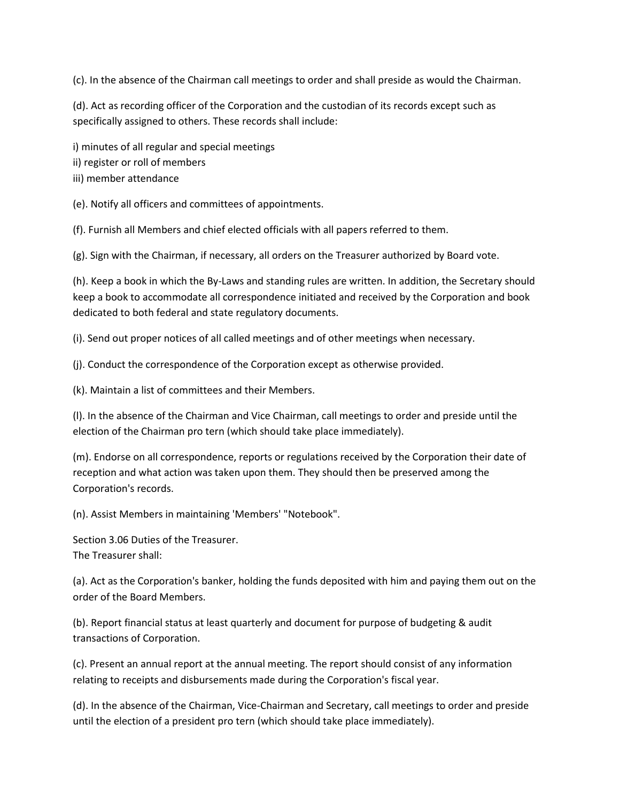(c). In the absence of the Chairman call meetings to order and shall preside as would the Chairman.

(d). Act as recording officer of the Corporation and the custodian of its records except such as specifically assigned to others. These records shall include:

i) minutes of all regular and special meetings

- ii) register or roll of members
- iii) member attendance

(e). Notify all officers and committees of appointments.

(f). Furnish all Members and chief elected officials with all papers referred to them.

(g). Sign with the Chairman, if necessary, all orders on the Treasurer authorized by Board vote.

(h). Keep a book in which the By-Laws and standing rules are written. In addition, the Secretary should keep a book to accommodate all correspondence initiated and received by the Corporation and book dedicated to both federal and state regulatory documents.

(i). Send out proper notices of all called meetings and of other meetings when necessary.

(j). Conduct the correspondence of the Corporation except as otherwise provided.

(k). Maintain a list of committees and their Members.

(l). In the absence of the Chairman and Vice Chairman, call meetings to order and preside until the election of the Chairman pro tern (which should take place immediately).

(m). Endorse on all correspondence, reports or regulations received by the Corporation their date of reception and what action was taken upon them. They should then be preserved among the Corporation's records.

(n). Assist Members in maintaining 'Members' "Notebook".

Section 3.06 Duties of the Treasurer. The Treasurer shall:

(a). Act as the Corporation's banker, holding the funds deposited with him and paying them out on the order of the Board Members.

(b). Report financial status at least quarterly and document for purpose of budgeting & audit transactions of Corporation.

(c). Present an annual report at the annual meeting. The report should consist of any information relating to receipts and disbursements made during the Corporation's fiscal year.

(d). In the absence of the Chairman, Vice-Chairman and Secretary, call meetings to order and preside until the election of a president pro tern (which should take place immediately).